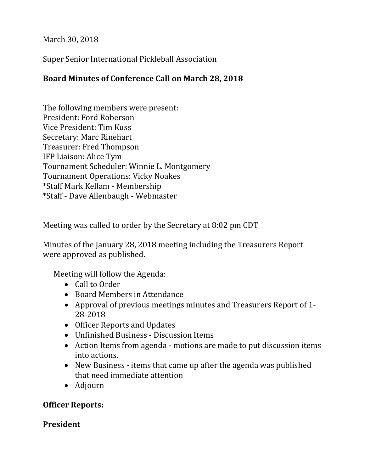March 30, 2018

Super Senior International Pickleball Association

## **Board Minutes of Conference Call on March 28, 2018**

The following members were present: President: Ford Roberson Vice President: Tim Kuss Secretary: Marc Rinehart Treasurer: Fred Thompson IFP Liaison: Alice Tym Tournament Scheduler: Winnie L. Montgomery Tournament Operations: Vicky Noakes \*Staff Mark Kellam - Membership \*Staff - Dave Allenbaugh - Webmaster

Meeting was called to order by the Secretary at 8:02 pm CDT

Minutes of the January 28, 2018 meeting including the Treasurers Report were approved as published.

Meeting will follow the Agenda:

- Call to Order
- Board Members in Attendance
- Approval of previous meetings minutes and Treasurers Report of 1- 28-2018
- Officer Reports and Updates
- Unfinished Business Discussion Items
- Action Items from agenda motions are made to put discussion items into actions.
- New Business items that came up after the agenda was published that need immediate attention
- Adjourn

### **Officer Reports:**

### **President**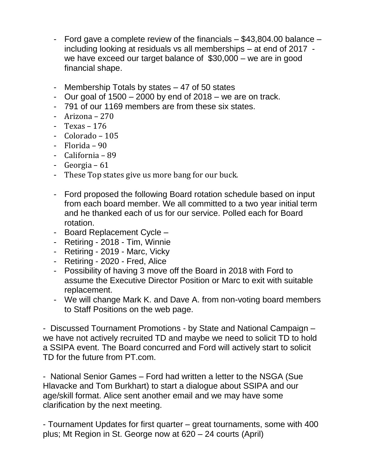- Ford gave a complete review of the financials \$43,804.00 balance including looking at residuals vs all memberships – at end of 2017 we have exceed our target balance of \$30,000 – we are in good financial shape.
- Membership Totals by states 47 of 50 states
- Our goal of  $1500 2000$  by end of  $2018 -$  we are on track.
- 791 of our 1169 members are from these six states.
- Arizona 270
- Texas 176
- Colorado 105
- Florida 90
- California 89
- Georgia 61
- These Top states give us more bang for our buck.
- Ford proposed the following Board rotation schedule based on input from each board member. We all committed to a two year initial term and he thanked each of us for our service. Polled each for Board rotation.
- Board Replacement Cycle –
- Retiring 2018 Tim, Winnie
- Retiring 2019 Marc, Vicky
- Retiring 2020 Fred, Alice
- Possibility of having 3 move off the Board in 2018 with Ford to assume the Executive Director Position or Marc to exit with suitable replacement.
- We will change Mark K. and Dave A. from non-voting board members to Staff Positions on the web page.

- Discussed Tournament Promotions - by State and National Campaign – we have not actively recruited TD and maybe we need to solicit TD to hold a SSIPA event. The Board concurred and Ford will actively start to solicit TD for the future from PT.com.

- National Senior Games – Ford had written a letter to the NSGA (Sue Hlavacke and Tom Burkhart) to start a dialogue about SSIPA and our age/skill format. Alice sent another email and we may have some clarification by the next meeting.

- Tournament Updates for first quarter – great tournaments, some with 400 plus; Mt Region in St. George now at 620 – 24 courts (April)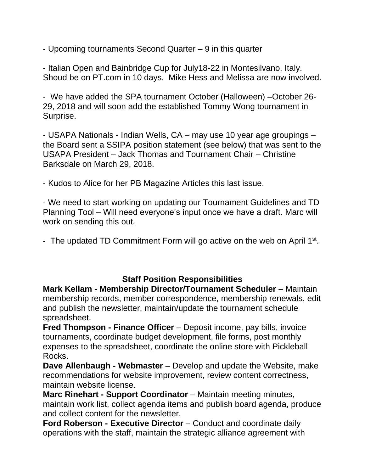- Upcoming tournaments Second Quarter – 9 in this quarter

- Italian Open and Bainbridge Cup for July18-22 in Montesilvano, Italy. Shoud be on PT.com in 10 days. Mike Hess and Melissa are now involved.

- We have added the SPA tournament October (Halloween) –October 26- 29, 2018 and will soon add the established Tommy Wong tournament in Surprise.

- USAPA Nationals - Indian Wells, CA – may use 10 year age groupings – the Board sent a SSIPA position statement (see below) that was sent to the USAPA President – Jack Thomas and Tournament Chair – Christine Barksdale on March 29, 2018.

- Kudos to Alice for her PB Magazine Articles this last issue.

- We need to start working on updating our Tournament Guidelines and TD Planning Tool – Will need everyone's input once we have a draft. Marc will work on sending this out.

- The updated TD Commitment Form will go active on the web on April 1<sup>st</sup>.

### **Staff Position Responsibilities**

**Mark Kellam - Membership Director/Tournament Scheduler** – Maintain membership records, member correspondence, membership renewals, edit and publish the newsletter, maintain/update the tournament schedule spreadsheet.

**Fred Thompson - Finance Officer** – Deposit income, pay bills, invoice tournaments, coordinate budget development, file forms, post monthly expenses to the spreadsheet, coordinate the online store with Pickleball Rocks.

**Dave Allenbaugh - Webmaster** – Develop and update the Website, make recommendations for website improvement, review content correctness, maintain website license.

**Marc Rinehart - Support Coordinator** – Maintain meeting minutes, maintain work list, collect agenda items and publish board agenda, produce and collect content for the newsletter.

**Ford Roberson - Executive Director** – Conduct and coordinate daily operations with the staff, maintain the strategic alliance agreement with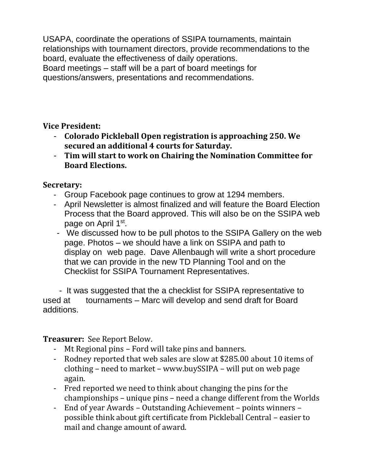USAPA, coordinate the operations of SSIPA tournaments, maintain relationships with tournament directors, provide recommendations to the board, evaluate the effectiveness of daily operations. Board meetings – staff will be a part of board meetings for questions/answers, presentations and recommendations.

**Vice President:** 

- **Colorado Pickleball Open registration is approaching 250. We secured an additional 4 courts for Saturday.**
- **Tim will start to work on Chairing the Nomination Committee for Board Elections.**

**Secretary:** 

- Group Facebook page continues to grow at 1294 members.
- April Newsletter is almost finalized and will feature the Board Election Process that the Board approved. This will also be on the SSIPA web page on April 1st.
- We discussed how to be pull photos to the SSIPA Gallery on the web page. Photos – we should have a link on SSIPA and path to display on web page. Dave Allenbaugh will write a short procedure that we can provide in the new TD Planning Tool and on the Checklist for SSIPA Tournament Representatives.

 - It was suggested that the a checklist for SSIPA representative to used at tournaments – Marc will develop and send draft for Board additions.

**Treasurer:** See Report Below.

- Mt Regional pins Ford will take pins and banners.
- Rodney reported that web sales are slow at \$285.00 about 10 items of clothing – need to market – www.buySSIPA – will put on web page again.
- Fred reported we need to think about changing the pins for the championships – unique pins – need a change different from the Worlds
- End of year Awards Outstanding Achievement points winners possible think about gift certificate from Pickleball Central – easier to mail and change amount of award.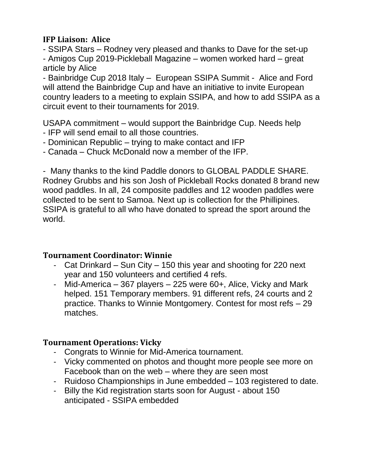## **IFP Liaison: Alice**

- SSIPA Stars – Rodney very pleased and thanks to Dave for the set-up - Amigos Cup 2019-Pickleball Magazine – women worked hard – great article by Alice

- Bainbridge Cup 2018 Italy – European SSIPA Summit - Alice and Ford will attend the Bainbridge Cup and have an initiative to invite European country leaders to a meeting to explain SSIPA, and how to add SSIPA as a circuit event to their tournaments for 2019.

USAPA commitment – would support the Bainbridge Cup. Needs help

- IFP will send email to all those countries.
- Dominican Republic trying to make contact and IFP
- Canada Chuck McDonald now a member of the IFP.

- Many thanks to the kind Paddle donors to GLOBAL PADDLE SHARE. Rodney Grubbs and his son Josh of Pickleball Rocks donated 8 brand new wood paddles. In all, 24 composite paddles and 12 wooden paddles were collected to be sent to Samoa. Next up is collection for the Phillipines. SSIPA is grateful to all who have donated to spread the sport around the world.

## **Tournament Coordinator: Winnie**

- Cat Drinkard Sun City 150 this year and shooting for 220 next year and 150 volunteers and certified 4 refs.
- Mid-America 367 players 225 were 60+, Alice, Vicky and Mark helped. 151 Temporary members. 91 different refs, 24 courts and 2 practice. Thanks to Winnie Montgomery. Contest for most refs – 29 matches.

# **Tournament Operations: Vicky**

- Congrats to Winnie for Mid-America tournament.
- Vicky commented on photos and thought more people see more on Facebook than on the web – where they are seen most
- Ruidoso Championships in June embedded 103 registered to date.
- Billy the Kid registration starts soon for August about 150 anticipated - SSIPA embedded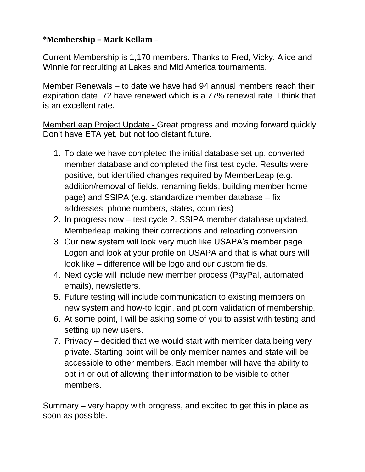## **\*Membership – Mark Kellam** –

Current Membership is 1,170 members. Thanks to Fred, Vicky, Alice and Winnie for recruiting at Lakes and Mid America tournaments.

Member Renewals – to date we have had 94 annual members reach their expiration date. 72 have renewed which is a 77% renewal rate. I think that is an excellent rate.

MemberLeap Project Update - Great progress and moving forward quickly. Don't have ETA yet, but not too distant future.

- 1. To date we have completed the initial database set up, converted member database and completed the first test cycle. Results were positive, but identified changes required by MemberLeap (e.g. addition/removal of fields, renaming fields, building member home page) and SSIPA (e.g. standardize member database – fix addresses, phone numbers, states, countries)
- 2. In progress now test cycle 2. SSIPA member database updated, Memberleap making their corrections and reloading conversion.
- 3. Our new system will look very much like USAPA's member page. Logon and look at your profile on USAPA and that is what ours will look like – difference will be logo and our custom fields.
- 4. Next cycle will include new member process (PayPal, automated emails), newsletters.
- 5. Future testing will include communication to existing members on new system and how-to login, and pt.com validation of membership.
- 6. At some point, I will be asking some of you to assist with testing and setting up new users.
- 7. Privacy decided that we would start with member data being very private. Starting point will be only member names and state will be accessible to other members. Each member will have the ability to opt in or out of allowing their information to be visible to other members.

Summary – very happy with progress, and excited to get this in place as soon as possible.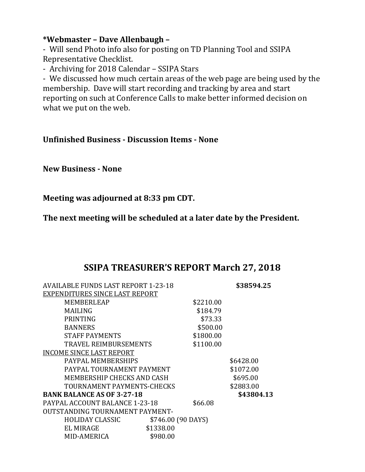### **\*Webmaster – Dave Allenbaugh –**

- Will send Photo info also for posting on TD Planning Tool and SSIPA Representative Checklist.

- Archiving for 2018 Calendar – SSIPA Stars

- We discussed how much certain areas of the web page are being used by the membership. Dave will start recording and tracking by area and start reporting on such at Conference Calls to make better informed decision on what we put on the web.

### **Unfinished Business - Discussion Items - None**

**New Business - None**

**Meeting was adjourned at 8:33 pm CDT.**

**The next meeting will be scheduled at a later date by the President.**

# **SSIPA TREASURER'S REPORT March 27, 2018**

| AVAILABLE FUNDS LAST REPORT 1-23-18 |                    |           | \$38594.25 |
|-------------------------------------|--------------------|-----------|------------|
| EXPENDITURES SINCE LAST REPORT      |                    |           |            |
| MEMBERLEAP                          |                    | \$2210.00 |            |
| <b>MAILING</b>                      |                    | \$184.79  |            |
| <b>PRINTING</b>                     |                    | \$73.33   |            |
| <b>BANNERS</b>                      |                    | \$500.00  |            |
| <b>STAFF PAYMENTS</b>               |                    | \$1800.00 |            |
| TRAVEL REIMBURSEMENTS               |                    | \$1100.00 |            |
| <b>INCOME SINCE LAST REPORT</b>     |                    |           |            |
| PAYPAL MEMBERSHIPS                  |                    |           | \$6428.00  |
| PAYPAL TOURNAMENT PAYMENT           |                    |           | \$1072.00  |
| MEMBERSHIP CHECKS AND CASH          |                    |           | \$695.00   |
| TOURNAMENT PAYMENTS-CHECKS          |                    |           | \$2883.00  |
| <b>BANK BALANCE AS OF 3-27-18</b>   |                    |           | \$43804.13 |
| PAYPAL ACCOUNT BALANCE 1-23-18      |                    | \$66.08   |            |
| OUTSTANDING TOURNAMENT PAYMENT-     |                    |           |            |
| <b>HOLIDAY CLASSIC</b>              | \$746.00 (90 DAYS) |           |            |
| EL MIRAGE                           | \$1338.00          |           |            |
| MID-AMERICA                         | \$980.00           |           |            |